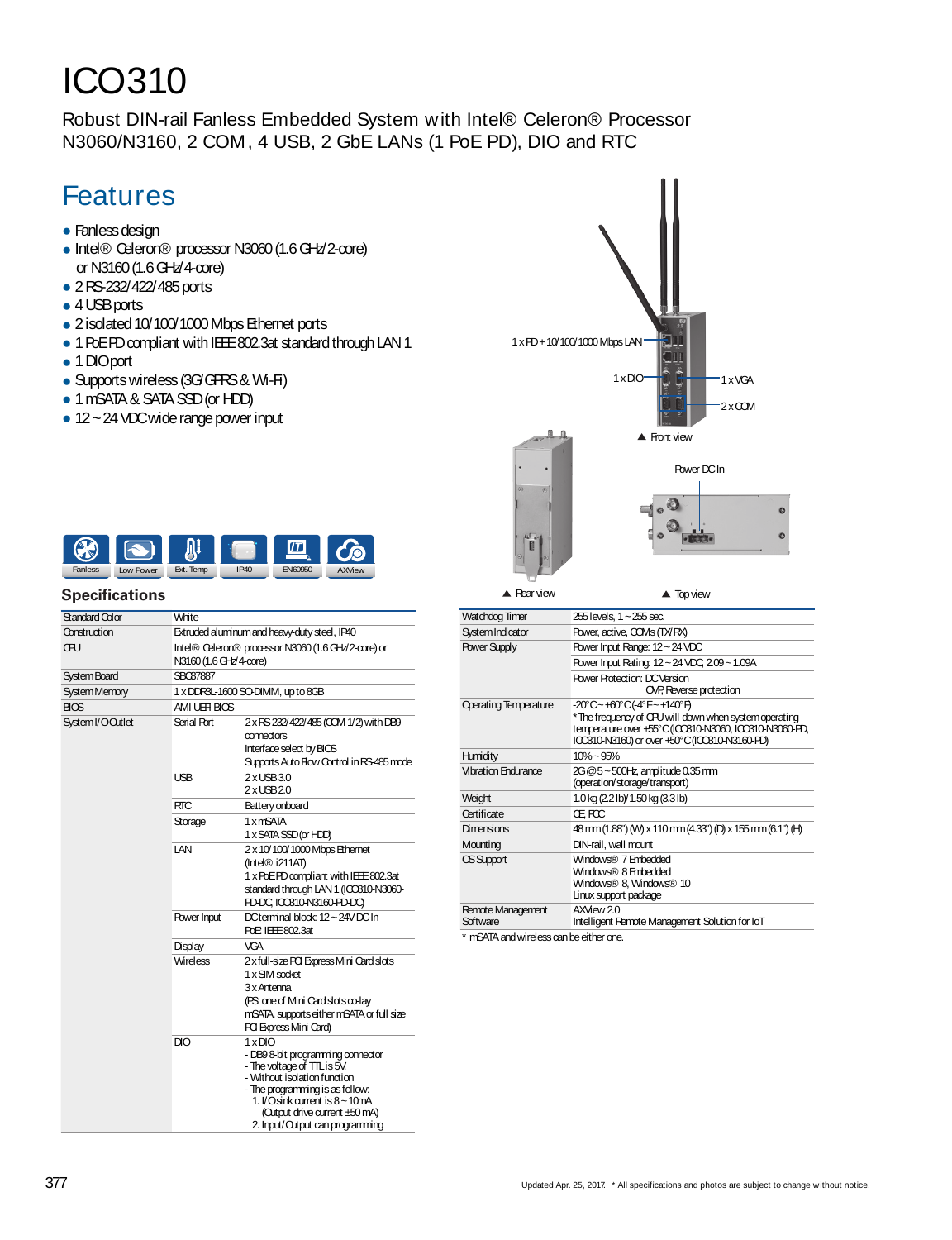# ICO310

Robust DIN-rail Fanless Embedded System with Intel® Celeron® Processor N3060/N3160, 2 COM, 4 USB, 2 GbE LANs (1 PoE PD), DIO and RTC

## Features

- Fanless design
- Intel® Celeron® processor N3060 (1.6 GHz/2-core) or N3160(1.6GHz/4-core)
- 2RS-232/422/485ports
- 4 USB ports
- 2 isolated 10/100/1000 Mbps Ethernet ports
- 1 PoEPD compliant with IEE 802.3at standard through LAN 1
- 1 DIOport
- Supports wireless (3G/GPRS & Wi-Fi)
- 1 mSATA & SATA SSD (or HDD)
- 12~24 VDC wide range power input



#### **Specifications**

| Standard Color      | White                                                                         |                                                                                                                                                                                                                                                                                   |
|---------------------|-------------------------------------------------------------------------------|-----------------------------------------------------------------------------------------------------------------------------------------------------------------------------------------------------------------------------------------------------------------------------------|
| Construction        | Extruded aluminum and heavy-duty steel, IP40                                  |                                                                                                                                                                                                                                                                                   |
| ŒЮ                  | Intel® Celeron® processor N3060 (1.6 GHz/2-core) or<br>N3160 (1.6 GHz/4-core) |                                                                                                                                                                                                                                                                                   |
| <b>System Board</b> | <b>SBC87887</b>                                                               |                                                                                                                                                                                                                                                                                   |
| <b>SystemMemory</b> | 1 x DDR3L-1600 SO-DIMM, up to 8GB                                             |                                                                                                                                                                                                                                                                                   |
| BIOS                | AMIUEFIBIOS                                                                   |                                                                                                                                                                                                                                                                                   |
| SystemI/OQutlet     | Serial Port                                                                   | 2 x RS-232/422/485 (CCM 1/2) with DB9<br>connectors<br>Interface select by BIOS<br>Supports Auto Flow Control in RS-485 mode                                                                                                                                                      |
|                     | <b>USB</b>                                                                    | $2x$ $UBB30$<br>$2x$ USB $20$                                                                                                                                                                                                                                                     |
|                     | <b>RTC</b>                                                                    | Battery onboard                                                                                                                                                                                                                                                                   |
|                     | Storage                                                                       | 1 x mSATA<br>1 x SATA SSD (or HDD)                                                                                                                                                                                                                                                |
|                     | LAN                                                                           | 2 x 10/100/1000 Mbps Ethernet<br>$($ Intel $\circledR$ i211AT)<br>1 x PoEPD compliant with IEEE 802.3at<br>standard through LAN 1 (ICCB10-N3060-<br>PD-DC ICO310-N3160-PD-DO                                                                                                      |
|                     | Power Input                                                                   | DCterminal block 12~24VDC-In<br>PoE IEEE 802.3at                                                                                                                                                                                                                                  |
|                     | Display                                                                       | <b>VGA</b>                                                                                                                                                                                                                                                                        |
|                     | <b>Wireless</b>                                                               | 2 x full-size PCI Express Mini Card slots<br>1 x SIM socket<br>3 x Antenna<br>(PS one of Mini Card slots co-lay<br>mSATA, supports either mSATA or full size<br><b>PCI Express Mini Card)</b>                                                                                     |
|                     | DIO                                                                           | $1 \times$ DIO<br>- DB9 8-bit programming connector<br>- The voltage of TTL is 5V.<br>- Without isolation function<br>- The programming is as follow:<br>1. $\sqrt{O}$ sink current is $8 \sim 10$ m $\Delta$<br>(Output drive current ±50 mA)<br>2. Input/Output can programming |



| Watchdog Timer                       | 255 levels, 1 ~ 255 sec.                                                                                                                                                                     |  |
|--------------------------------------|----------------------------------------------------------------------------------------------------------------------------------------------------------------------------------------------|--|
| System Indicator                     | Power, active, COMs (TX/RX)                                                                                                                                                                  |  |
| <b>Power Supply</b>                  | Power Input Range: 12 ~ 24 VDC                                                                                                                                                               |  |
|                                      | Power Input Rating: 12~24 VDC, 2.09~1.09A                                                                                                                                                    |  |
|                                      | <b>Power Protection: DC Version</b><br>OVP, Reverse protection                                                                                                                               |  |
| <b>Operating Temperature</b>         | -20°C~+60°C(-4°F~+140°F)<br>*The frequency of CPU will down when system operating<br>temperature over +55°C (ICCB10-N3060, ICCB10-N3060-PD,<br>ICCB10-N3160) or over +50°C (ICCB10-N3160-PD) |  |
| Humidity                             | $10\% - 95\%$                                                                                                                                                                                |  |
| Vibration Fool rance                 | 2G@5~500Hz amplitude 0.35 mm<br>(operation/storage/transport)                                                                                                                                |  |
| Weight                               | 1.0 kg (2.2 lb)/ 1.50 kg (3.3 lb)                                                                                                                                                            |  |
| Certificate                          | Œ FCC                                                                                                                                                                                        |  |
| Dimensions                           | 48 mm (1.88") (W) x 110 mm (4.33") (D) x 155 mm (6.1") (H)                                                                                                                                   |  |
| Mounting                             | DIN-rail, wall mount                                                                                                                                                                         |  |
| OS Support                           | Windows® 7 Embedded<br>Windows® 8 Embedded<br>Windows® 8, Windows® 10<br>Linux support package                                                                                               |  |
| <b>Remote Management</b><br>Software | $AX$ Mew $20$<br>Intelligent Remote Management Solution for IoT                                                                                                                              |  |

\* mSATA and wireless can be either one.